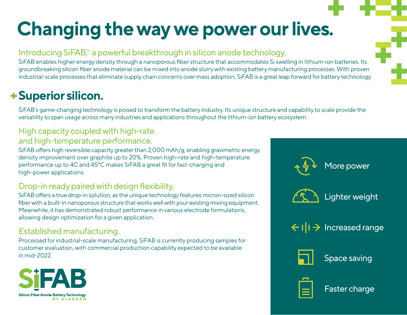# **Changing the way we power our lives.**

## Introducing  $SiFAB$ <sup>*m*</sup> a powerful breakthrough in silicon anode technology.

SiFAB enables higher energy density through a nanoporous fiber structure that accommodates Si swelling in lithium-ion batteries. Its groundbreaking silicon fiber anode material can be mixed into anode slurry with existing battery manufacturing processes. With proven industrial-scale processes that eliminate supply chain concerns over mass adoption, SiFAB is a great leap forward for battery technology.

# **Superior silicon.**

SiFAB's game-changing technology is poised to transform the battery industry. Its unique structure and capability to scale provide the versatility to span usage across many industries and applications throughout the lithium-ion battery ecosystem.

### High capacity coupled with high-rate and high-temperature performance.

SiFAB offers high reversible capacity greater than 2,000 mAh/g, enabling gravimetric energy density improvement over graphite up to 20%. Proven high-rate and high-temperature performance up to 4C and 45°C makes SiFAB a great fit for fast-charging and high-power applications.

## Drop-in ready paired with design flexibility.

SiFAB offers a true drop-in solution, as the unique technology features micron-sized silicon fiber with a built-in nanoporous structure that works well with your existing mixing equipment. Meanwhile, it has demonstrated robust performance in various electrode formulations, allowing design optimization for a given application.

## Established manufacturing.

Processed for industrial-scale manufacturing, SiFAB is currently producing samples for customer evaluation, with commercial production capability expected to be available in mid-2022.